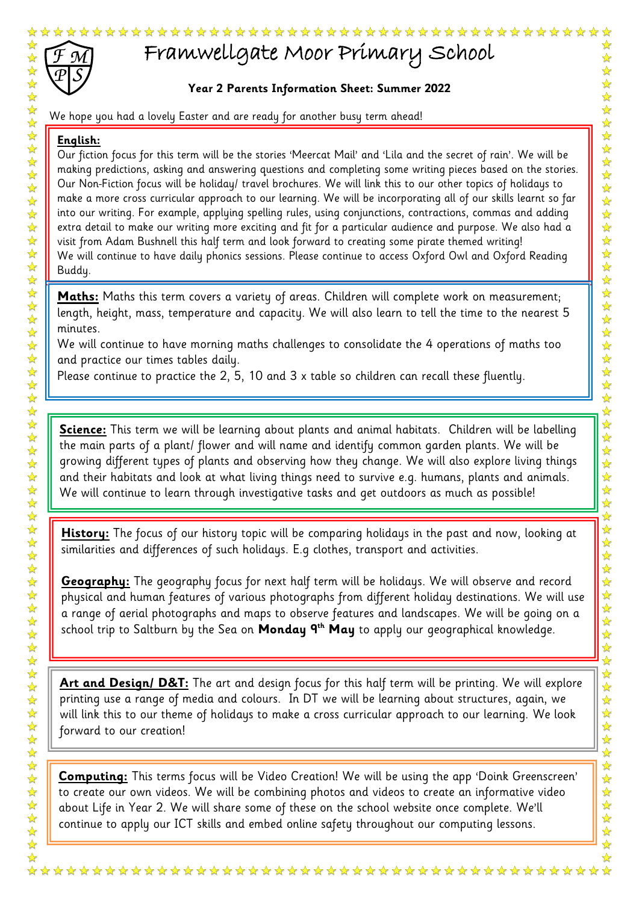

## Framwellgate Moor Primary School

## **Year 2 Parents Information Sheet: Summer 2022**

## **English:**

 $\frac{1}{\sqrt{2}}$  $\frac{1}{\sqrt{2}}$ 

As the set of the set of the set of the set of the set of the set of the set of the set of the set of the set of the set of the set of the set of the set of the set of the set of the set of the set of the set of the set o Our fiction focus for this term will be the stories 'Meercat Mail' and 'Lila and the secret of rain'. We will be making predictions, asking and answering questions and completing some writing pieces based on the stories. Our Non-Fiction focus will be holiday/ travel brochures. We will link this to our other topics of holidays to make a more cross curricular approach to our learning. We will be incorporating all of our skills learnt so far into our writing. For example, applying spelling rules, using conjunctions, contractions, commas and adding extra detail to make our writing more exciting and fit for a particular audience and purpose. We also had a visit from Adam Bushnell this half term and look forward to creating some pirate themed writing! We will continue to have daily phonics sessions. Please continue to access Oxford Owl and Oxford Reading Buddy.

**Maths:** Maths this term covers a variety of areas. Children will complete work on measurement; length, height, mass, temperature and capacity. We will also learn to tell the time to the nearest 5 minutes.

We will continue to have morning maths challenges to consolidate the 4 operations of maths too and practice our times tables daily.

Please continue to practice the 2, 5, 10 and 3 x table so children can recall these fluently.

**Science:** This term we will be learning about plants and animal habitats. Children will be labelling the main parts of a plant/ flower and will name and identify common garden plants. We will be growing different types of plants and observing how they change. We will also explore living things and their habitats and look at what living things need to survive e.g. humans, plants and animals. We will continue to learn through investigative tasks and get outdoors as much as possible!

**History:** The focus of our history topic will be comparing holidays in the past and now, looking at similarities and differences of such holidays. E.g clothes, transport and activities.

**Geography:** The geography focus for next half term will be holidays. We will observe and record physical and human features of various photographs from different holiday destinations. We will use a range of aerial photographs and maps to observe features and landscapes. We will be going on a school trip to Saltburn by the Sea on **Monday 9th May** to apply our geographical knowledge.

**Art and Design/ D&T:** The art and design focus for this half term will be printing. We will explore printing use a range of media and colours. In DT we will be learning about structures, again, we will link this to our theme of holidays to make a cross curricular approach to our learning. We look forward to our creation!

**Computing:** This terms focus will be Video Creation! We will be using the app 'Doink Greenscreen' to create our own videos. We will be combining photos and videos to create an informative video about Life in Year 2. We will share some of these on the school website once complete. We'll continue to apply our ICT skills and embed online safety throughout our computing lessons.